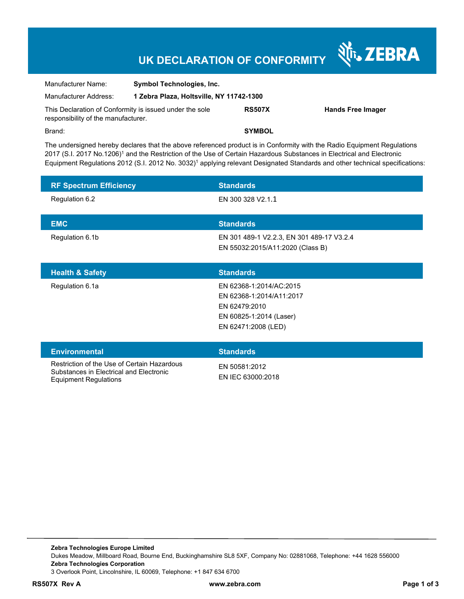## **UK DECLARATION OF CONFORMITY**

Nr. ZEBRA

| Manufacturer Name:                                                                             | <b>Symbol Technologies, Inc.</b>         |               |                          |
|------------------------------------------------------------------------------------------------|------------------------------------------|---------------|--------------------------|
| Manufacturer Address:                                                                          | 1 Zebra Plaza, Holtsville, NY 11742-1300 |               |                          |
| This Declaration of Conformity is issued under the sole<br>responsibility of the manufacturer. |                                          | <b>RS507X</b> | <b>Hands Free Imager</b> |
| Brand:                                                                                         |                                          | <b>SYMBOL</b> |                          |

The undersigned hereby declares that the above referenced product is in Conformity with the Radio Equipment Regulations 2017 (S.I. 2017 No.1206)<sup>1</sup> and the Restriction of the Use of Certain Hazardous Substances in Electrical and Electronic Equipment Regulations 2012 (S.I. 2012 No. 3032)<sup>1</sup> applying relevant Designated Standards and other technical specifications:

| <b>RF Spectrum Efficiency</b>                                                                                          | <b>Standards</b>                                                                                                       |  |
|------------------------------------------------------------------------------------------------------------------------|------------------------------------------------------------------------------------------------------------------------|--|
| Regulation 6.2                                                                                                         | EN 300 328 V2.1.1                                                                                                      |  |
| <b>EMC</b>                                                                                                             | <b>Standards</b>                                                                                                       |  |
| Regulation 6.1b                                                                                                        | EN 301 489-1 V2.2.3, EN 301 489-17 V3.2.4<br>EN 55032:2015/A11:2020 (Class B)                                          |  |
| <b>Health &amp; Safety</b>                                                                                             | <b>Standards</b>                                                                                                       |  |
| Regulation 6.1a                                                                                                        | EN 62368-1:2014/AC:2015<br>EN 62368-1:2014/A11:2017<br>EN 62479:2010<br>EN 60825-1:2014 (Laser)<br>EN 62471:2008 (LED) |  |
| <b>Environmental</b>                                                                                                   | <b>Standards</b>                                                                                                       |  |
| Restriction of the Use of Certain Hazardous<br>Substances in Electrical and Electronic<br><b>Equipment Regulations</b> | EN 50581:2012<br>EN IEC 63000:2018                                                                                     |  |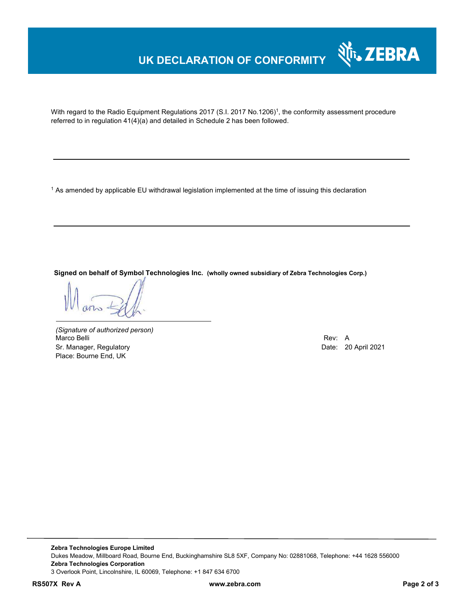### **UK DECLARATION OF CONFORMITY**



With regard to the Radio Equipment Regulations 2017 (S.I. 2017 No.1206)<sup>1</sup>, the conformity assessment procedure referred to in regulation 41(4)(a) and detailed in Schedule 2 has been followed.

 $^{\rm 1}$  As amended by applicable EU withdrawal legislation implemented at the time of issuing this declaration

**Signed on behalf of Symbol Technologies Inc. (wholly owned subsidiary of Zebra Technologies Corp.)**

*(Signature of authorized person)* Marco Belli Rev: A Annual Rev: A Annual Rev: A Annual Rev: A Annual Rev: A Annual Rev: A Annual Rev: A Annual Rev Sr. Manager, Regulatory **Date: 20 April 2021** Place: Bourne End, UK